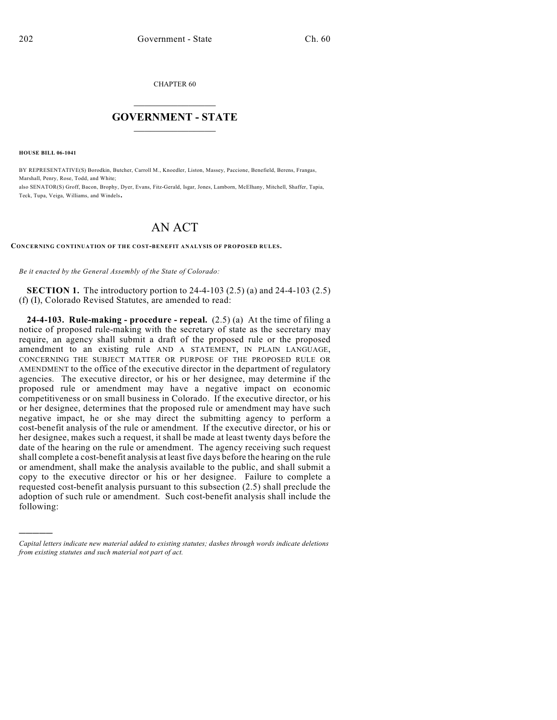CHAPTER 60

## $\overline{\phantom{a}}$  . The set of the set of the set of the set of the set of the set of the set of the set of the set of the set of the set of the set of the set of the set of the set of the set of the set of the set of the set o **GOVERNMENT - STATE**  $\_$

**HOUSE BILL 06-1041**

)))))

BY REPRESENTATIVE(S) Borodkin, Butcher, Carroll M., Knoedler, Liston, Massey, Paccione, Benefield, Berens, Frangas, Marshall, Penry, Rose, Todd, and White;

also SENATOR(S) Groff, Bacon, Brophy, Dyer, Evans, Fitz-Gerald, Isgar, Jones, Lamborn, McElhany, Mitchell, Shaffer, Tapia, Teck, Tupa, Veiga, Williams, and Windels.

## AN ACT

## **CONCERNING CONTINUATION OF THE COST-BENEFIT ANALYSIS OF PROPOSED RULES.**

*Be it enacted by the General Assembly of the State of Colorado:*

**SECTION 1.** The introductory portion to 24-4-103 (2.5) (a) and 24-4-103 (2.5) (f) (I), Colorado Revised Statutes, are amended to read:

**24-4-103. Rule-making - procedure - repeal.** (2.5) (a) At the time of filing a notice of proposed rule-making with the secretary of state as the secretary may require, an agency shall submit a draft of the proposed rule or the proposed amendment to an existing rule AND A STATEMENT, IN PLAIN LANGUAGE, CONCERNING THE SUBJECT MATTER OR PURPOSE OF THE PROPOSED RULE OR AMENDMENT to the office of the executive director in the department of regulatory agencies. The executive director, or his or her designee, may determine if the proposed rule or amendment may have a negative impact on economic competitiveness or on small business in Colorado. If the executive director, or his or her designee, determines that the proposed rule or amendment may have such negative impact, he or she may direct the submitting agency to perform a cost-benefit analysis of the rule or amendment. If the executive director, or his or her designee, makes such a request, it shall be made at least twenty days before the date of the hearing on the rule or amendment. The agency receiving such request shall complete a cost-benefit analysis at least five days before the hearing on the rule or amendment, shall make the analysis available to the public, and shall submit a copy to the executive director or his or her designee. Failure to complete a requested cost-benefit analysis pursuant to this subsection (2.5) shall preclude the adoption of such rule or amendment. Such cost-benefit analysis shall include the following:

*Capital letters indicate new material added to existing statutes; dashes through words indicate deletions from existing statutes and such material not part of act.*